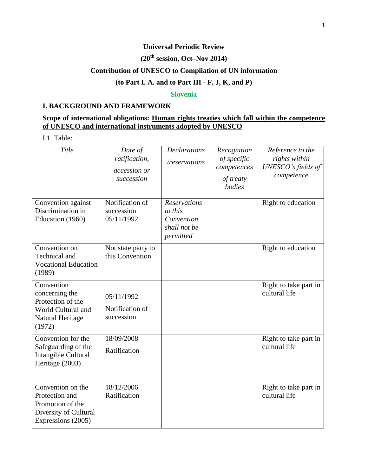### **Universal Periodic Review**

# **(20th session, Oct–Nov 2014)**

# **Contribution of UNESCO to Compilation of UN information**

### **(to Part I. A. and to Part III - F, J, K, and P)**

#### **Slovenia**

#### **I. BACKGROUND AND FRAMEWORK**

### **Scope of international obligations: Human rights treaties which fall within the competence of UNESCO and international instruments adopted by UNESCO**

I.1. Table:

| Title                                                                                                  | Date of<br>ratification,<br>accession or<br>succession | <b>Declarations</b><br>/reservations                                      | Recognition<br>of specific<br>competences<br>of treaty<br>bodies | Reference to the<br>rights within<br>UNESCO's fields of<br>competence |
|--------------------------------------------------------------------------------------------------------|--------------------------------------------------------|---------------------------------------------------------------------------|------------------------------------------------------------------|-----------------------------------------------------------------------|
| Convention against<br>Discrimination in<br>Education (1960)                                            | Notification of<br>succession<br>05/11/1992            | <b>Reservations</b><br>to this<br>Convention<br>shall not be<br>permitted |                                                                  | Right to education                                                    |
| Convention on<br>Technical and<br><b>Vocational Education</b><br>(1989)                                | Not state party to<br>this Convention                  |                                                                           |                                                                  | Right to education                                                    |
| Convention<br>concerning the<br>Protection of the<br>World Cultural and<br>Natural Heritage<br>(1972)  | 05/11/1992<br>Notification of<br>succession            |                                                                           |                                                                  | Right to take part in<br>cultural life                                |
| Convention for the<br>Safeguarding of the<br>Intangible Cultural<br>Heritage (2003)                    | 18/09/2008<br>Ratification                             |                                                                           |                                                                  | Right to take part in<br>cultural life                                |
| Convention on the<br>Protection and<br>Promotion of the<br>Diversity of Cultural<br>Expressions (2005) | 18/12/2006<br>Ratification                             |                                                                           |                                                                  | Right to take part in<br>cultural life                                |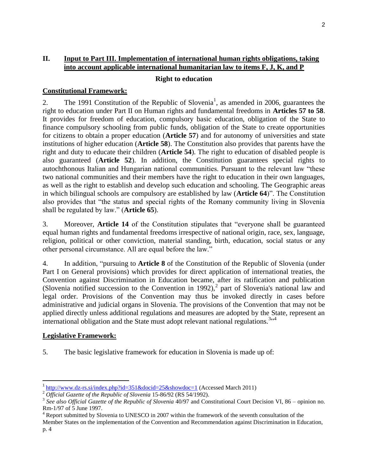### **II. Input to Part III. Implementation of international human rights obligations, taking into account applicable international humanitarian law to items F, J, K, and P**

#### **Right to education**

#### **Constitutional Framework:**

2. The 1991 Constitution of the Republic of Slovenia<sup>1</sup>, as amended in 2006, guarantees the right to education under Part II on Human rights and fundamental freedoms in **Articles 57 to 58**. It provides for freedom of education, compulsory basic education, obligation of the State to finance compulsory schooling from public funds, obligation of the State to create opportunities for citizens to obtain a proper education (**Article 57**) and for autonomy of universities and state institutions of higher education (**Article 58**). The Constitution also provides that parents have the right and duty to educate their children (**Article 54**). The right to education of disabled people is also guaranteed (**Article 52**). In addition, the Constitution guarantees special rights to autochthonous Italian and Hungarian national communities. Pursuant to the relevant law "these two national communities and their members have the right to education in their own languages, as well as the right to establish and develop such education and schooling. The Geographic areas in which bilingual schools are compulsory are established by law (**Article 64**)". The Constitution also provides that "the status and special rights of the Romany community living in Slovenia shall be regulated by law." (**Article 65**).

3. Moreover, **Article 14** of the Constitution stipulates that "everyone shall be guaranteed equal human rights and fundamental freedoms irrespective of national origin, race, sex, language, religion, political or other conviction, material standing, birth, education, social status or any other personal circumstance. All are equal before the law."

4. In addition, "pursuing to **Article 8** of the Constitution of the Republic of Slovenia (under Part I on General provisions) which provides for direct application of international treaties, the Convention against Discrimination in Education became, after its ratification and publication (Slovenia notified succession to the Convention in 1992),<sup>2</sup> part of Slovenia's national law and legal order. Provisions of the Convention may thus be invoked directly in cases before administrative and judicial organs in Slovenia. The provisions of the Convention that may not be applied directly unless additional regulations and measures are adopted by the State, represent an international obligation and the State must adopt relevant national regulations.<sup>3,,4</sup>

#### **Legislative Framework:**

 $\overline{\phantom{a}}$ 

5. The basic legislative framework for education in Slovenia is made up of:

<sup>&</sup>lt;sup>1</sup> <http://www.dz-rs.si/index.php?id=351&docid=25&showdoc=1> (Accessed March 2011)

<sup>&</sup>lt;sup>2</sup> *Official Gazette of the Republic of Slovenia* 15-86/92 (RS 54/1992).

<sup>&</sup>lt;sup>3</sup> See also Official Gazette of the Republic of Slovenia 40/97 and Constitutional Court Decision VI, 86 – opinion no. Rm-1/97 of 5 June 1997.

<sup>&</sup>lt;sup>4</sup> Report submitted by Slovenia to UNESCO in 2007 within the framework of the seventh consultation of the

Member States on the implementation of the Convention and Recommendation against Discrimination in Education, p. 4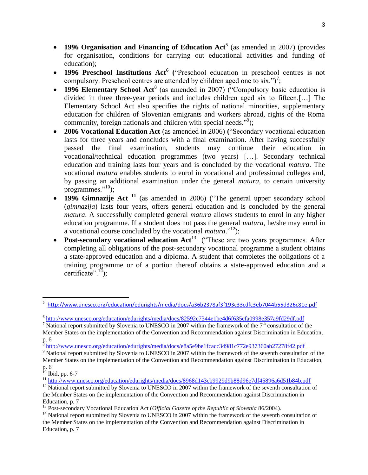- **1996 Organisation and Financing of Education Act<sup>5</sup> (as amended in 2007) (provides** for organisation, conditions for carrying out educational activities and funding of education);
- **1996 Preschool Institutions Act<sup>6</sup> (**"Preschool education in preschool centres is not compulsory. Preschool centres are attended by children aged one to six.")<sup>7</sup>;
- **1996 Elementary School Act<sup>8</sup>** (as amended in 2007) ("Compulsory basic education is divided in three three-year periods and includes children aged six to fifteen.[…] The Elementary School Act also specifies the rights of national minorities, supplementary education for children of Slovenian emigrants and workers abroad, rights of the Roma community, foreign nationals and children with special needs."<sup>9</sup>);
- **2006 Vocational Education Act** (as amended in 2006) **(**"Secondary vocational education lasts for three years and concludes with a final examination. After having successfully passed the final examination, students may continue their education in vocational/technical education programmes (two years) […]. Secondary technical education and training lasts four years and is concluded by the vocational *matura*. The vocational *matura* enables students to enrol in vocational and professional colleges and, by passing an additional examination under the general *matura*, to certain university programmes." $^{10}$ );
- **1996 Gimnazije Act <sup>11</sup>** (as amended in 2006) ("The general upper secondary school (*gimnazija*) lasts four years, offers general education and is concluded by the general *matura*. A successfully completed general *matura* allows students to enrol in any higher education programme. If a student does not pass the general *matura*, he/she may enrol in a vocational course concluded by the vocational *matura*."<sup>12</sup>);
- **Post-secondary vocational education Act**<sup>13</sup> ("These are two years programmes. After completing all obligations of the post-secondary vocational programme a student obtains a state-approved education and a diploma. A student that completes the obligations of a training programme or of a portion thereof obtains a state-approved education and a certificate". $^{14}$ );

l

<sup>5</sup> <http://www.unesco.org/education/edurights/media/docs/a36b2378af3f193c33cdfc3eb7044b55d326c81e.pdf>

<sup>&</sup>lt;sup>6</sup> <http://www.unesco.org/education/edurights/media/docs/82592c7344e1be4d6f635cfa0998e357a9fd29df.pdf>

 $\frac{7}{10}$  National report submitted by Slovenia to UNESCO in 2007 within the framework of the  $7<sup>th</sup>$  consultation of the Member States on the implementation of the Convention and Recommendation against Discrimination in Education,  $\frac{p.6}{8.14}$ 

<http://www.unesco.org/education/edurights/media/docs/e8a5e9be1fcacc34981c772e937360ab27278f42.pdf>

<sup>&</sup>lt;sup>9</sup> National report submitted by Slovenia to UNESCO in 2007 within the framework of the seventh consultation of the Member States on the implementation of the Convention and Recommendation against Discrimination in Education, p. 6

 $10$  Ibid, pp. 6-7

<sup>11</sup> http://www.<u>unesco.org/education/edurights/media/docs/8968d143cb9929d9b88d96e7df45896a6d51b84b.pdf</u>

<sup>&</sup>lt;sup>12</sup> National report submitted by Slovenia to UNESCO in 2007 within the framework of the seventh consultation of the Member States on the implementation of the Convention and Recommendation against Discrimination in Education, p. 7

<sup>13</sup> Post-secondary Vocational Education Act (*Official Gazette of the Republic of Slovenia* 86/2004).

<sup>&</sup>lt;sup>14</sup> National report submitted by Slovenia to UNESCO in 2007 within the framework of the seventh consultation of the Member States on the implementation of the Convention and Recommendation against Discrimination in Education, p. 7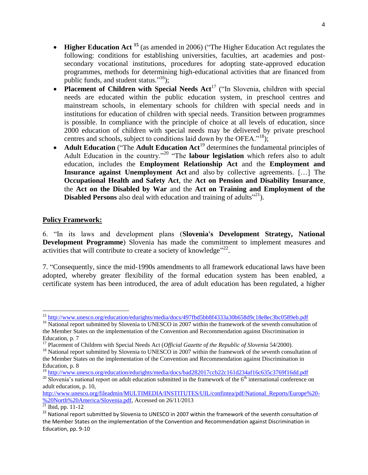- **Higher Education Act <sup>15</sup>** (as amended in 2006) ("The Higher Education Act regulates the following: conditions for establishing universities, faculties, art academies and postsecondary vocational institutions, procedures for adopting state-approved education programmes, methods for determining high-educational activities that are financed from public funds, and student status."<sup>16</sup>);
- **Placement of Children with Special Needs Act<sup>17</sup> ("In Slovenia, children with special** needs are educated within the public education system, in preschool centres and mainstream schools, in elementary schools for children with special needs and in institutions for education of children with special needs. Transition between programmes is possible. In compliance with the principle of choice at all levels of education, since 2000 education of children with special needs may be delivered by private preschool centres and schools, subject to conditions laid down by the OFEA."<sup>18</sup>);
- **Adult Education** ("The **Adult Education Act<sup>19</sup> determines the fundamental principles of** Adult Education in the country."<sup>20</sup> "The **labour legislation** which refers also to adult education, includes the **Employment Relationship Act** and the **Employment and Insurance against Unemployment Act** and also by collective agreements. […] The **Occupational Health and Safety Act**, the **Act on Pension and Disability Insurance**, the **Act on the Disabled by War** and the **Act on Training and Employment of the Disabled Persons** also deal with education and training of adults<sup>"21</sup>).

### **Policy Framework:**

6. "In its laws and development plans (**Slovenia's Development Strategy, National Development Programme**) Slovenia has made the commitment to implement measures and activities that will contribute to create a society of knowledge" $22$ .

7. "Consequently, since the mid-1990s amendments to all framework educational laws have been adopted, whereby greater flexibility of the formal education system has been enabled, a certificate system has been introduced, the area of adult education has been regulated, a higher

 $\overline{\phantom{a}}$ <sup>15</sup> <http://www.unesco.org/education/edurights/media/docs/497fbd5bb8f4333a30b658d9c18e8ec3bc0589eb.pdf>

<sup>&</sup>lt;sup>16</sup> National report submitted by Slovenia to UNESCO in 2007 within the framework of the seventh consultation of the Member States on the implementation of the Convention and Recommendation against Discrimination in Education, p. 7

<sup>&</sup>lt;sup>17</sup> Placement of Children with Special Needs Act (*Official Gazette of the Republic of Slovenia* 54/2000).

<sup>&</sup>lt;sup>18</sup> National report submitted by Slovenia to UNESCO in 2007 within the framework of the seventh consultation of the Member States on the implementation of the Convention and Recommendation against Discrimination in Education, p. 8

<sup>19</sup> <http://www.unesco.org/education/edurights/media/docs/bad282017ccb22c161d234af16c635c3769f16dd.pdf>

 $20$  Slovenia's national report on adult education submitted in the framework of the  $6<sup>th</sup>$  international conference on adult education, p. 10,

[http://www.unesco.org/fileadmin/MULTIMEDIA/INSTITUTES/UIL/confintea/pdf/National\\_Reports/Europe%20-](http://www.unesco.org/fileadmin/MULTIMEDIA/INSTITUTES/UIL/confintea/pdf/National_Reports/Europe%20-%20North%20America/Slovenia.pdf) [%20North%20America/Slovenia.pdf,](http://www.unesco.org/fileadmin/MULTIMEDIA/INSTITUTES/UIL/confintea/pdf/National_Reports/Europe%20-%20North%20America/Slovenia.pdf) Accessed on 26/11/2013

 $^{21}$  Ibid, pp. 11-12

<sup>&</sup>lt;sup>22</sup> National report submitted by Slovenia to UNESCO in 2007 within the framework of the seventh consultation of the Member States on the implementation of the Convention and Recommendation against Discrimination in Education, pp. 9-10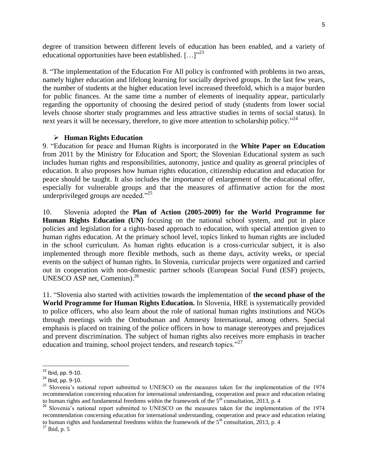degree of transition between different levels of education has been enabled, and a variety of educational opportunities have been established. [...]"<sup>23</sup>

8. "The implementation of the Education For All policy is confronted with problems in two areas, namely higher education and lifelong learning for socially deprived groups. In the last few years, the number of students at the higher education level increased threefold, which is a major burden for public finances. At the same time a number of elements of inequality appear, particularly regarding the opportunity of choosing the desired period of study (students from lower social levels choose shorter study programmes and less attractive studies in terms of social status). In next years it will be necessary, therefore, to give more attention to scholarship policy."<sup>24</sup>

#### **Human Rights Education**

9. "Education for peace and Human Rights is incorporated in the **White Paper on Education** from 2011 by the Ministry for Education and Sport; the Slovenian Educational system as such includes human rights and responsibilities, autonomy, justice and quality as general principles of education. It also proposes how human rights education, citizenship education and education for peace should be taught. It also includes the importance of enlargement of the educational offer, especially for vulnerable groups and that the measures of affirmative action for the most underprivileged groups are needed."<sup>25</sup>

10. Slovenia adopted the **Plan of Action (2005-2009) for the World Programme for Human Rights Education (UN)** focusing on the national school system, and put in place policies and legislation for a rights-based approach to education, with special attention given to human rights education. At the primary school level, topics linked to human rights are included in the school curriculum. As human rights education is a cross-curricular subject, it is also implemented through more flexible methods, such as theme days, activity weeks, or special events on the subject of human rights. In Slovenia, curricular projects were organized and carried out in cooperation with non-domestic partner schools (European Social Fund (ESF) projects, UNESCO ASP net, Comenius).<sup>26</sup>

11. "Slovenia also started with activities towards the implementation of **the second phase of the World Programme for Human Rights Education.** In Slovenia, HRE is systematically provided to police officers, who also learn about the role of national human rights institutions and NGOs through meetings with the Ombudsman and Amnesty International, among others. Special emphasis is placed on training of the police officers in how to manage stereotypes and prejudices and prevent discrimination. The subject of human rights also receives more emphasis in teacher education and training, school project tenders, and research topics."<sup>27</sup>

<sup>&</sup>lt;sup>23</sup> Ibid, pp. 9-10.

 $^{24}$  Ibid, pp. 9-10.

<sup>&</sup>lt;sup>25</sup> Slovenia's national report submitted to UNESCO on the measures taken for the implementation of the 1974 recommendation concerning education for international understanding, cooperation and peace and education relating to human rights and fundamental freedoms within the framework of the  $5<sup>th</sup>$  consultation, 2013, p. 4

<sup>&</sup>lt;sup>26</sup> Slovenia's national report submitted to UNESCO on the measures taken for the implementation of the 1974 recommendation concerning education for international understanding, cooperation and peace and education relating to human rights and fundamental freedoms within the framework of the  $5<sup>th</sup>$  consultation, 2013, p. 4

<sup>27</sup> Ibid, p. 5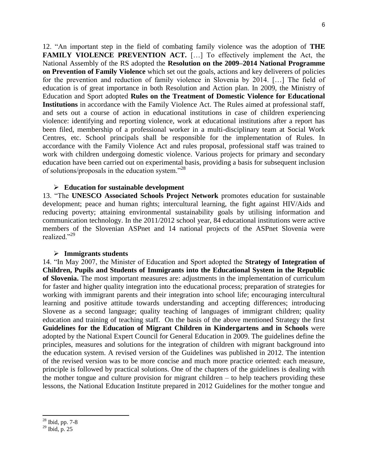12. "An important step in the field of combating family violence was the adoption of **THE FAMILY VIOLENCE PREVENTION ACT.** [...] To effectively implement the Act, the National Assembly of the RS adopted the **Resolution on the 2009–2014 National Programme on Prevention of Family Violence** which set out the goals, actions and key deliverers of policies for the prevention and reduction of family violence in Slovenia by 2014. […] The field of education is of great importance in both Resolution and Action plan. In 2009, the Ministry of Education and Sport adopted **Rules on the Treatment of Domestic Violence for Educational Institutions** in accordance with the Family Violence Act. The Rules aimed at professional staff, and sets out a course of action in educational institutions in case of children experiencing violence: identifying and reporting violence, work at educational institutions after a report has been filed, membership of a professional worker in a multi-disciplinary team at Social Work Centres, etc. School principals shall be responsible for the implementation of Rules. In accordance with the Family Violence Act and rules proposal, professional staff was trained to work with children undergoing domestic violence. Various projects for primary and secondary education have been carried out on experimental basis, providing a basis for subsequent inclusion of solutions/proposals in the education system."<sup>28</sup>

#### **Education for sustainable development**

13. "The **UNESCO Associated Schools Project Network** promotes education for sustainable development; peace and human rights; intercultural learning, the fight against HIV/Aids and reducing poverty; attaining environmental sustainability goals by utilising information and communication technology. In the 2011/2012 school year, 84 educational institutions were active members of the Slovenian ASPnet and 14 national projects of the ASPnet Slovenia were realized."<sup>29</sup>

#### **Immigrants students**

14. "In May 2007, the Minister of Education and Sport adopted the **Strategy of Integration of Children, Pupils and Students of Immigrants into the Educational System in the Republic of Slovenia.** The most important measures are: adjustments in the implementation of curriculum for faster and higher quality integration into the educational process; preparation of strategies for working with immigrant parents and their integration into school life; encouraging intercultural learning and positive attitude towards understanding and accepting differences; introducing Slovene as a second language; quality teaching of languages of immigrant children; quality education and training of teaching staff. On the basis of the above mentioned Strategy the first **Guidelines for the Education of Migrant Children in Kindergartens and in Schools** were adopted by the National Expert Council for General Education in 2009. The guidelines define the principles, measures and solutions for the integration of children with migrant background into the education system. A revised version of the Guidelines was published in 2012. The intention of the revised version was to be more concise and much more practice oriented: each measure, principle is followed by practical solutions. One of the chapters of the guidelines is dealing with the mother tongue and culture provision for migrant children – to help teachers providing these lessons, the National Education Institute prepared in 2012 Guidelines for the mother tongue and

<sup>28</sup> Ibid, pp. 7-8

<sup>29</sup> Ibid, p. 25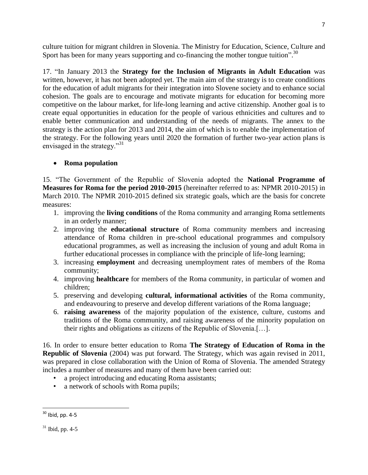culture tuition for migrant children in Slovenia. The Ministry for Education, Science, Culture and Sport has been for many years supporting and co-financing the mother tongue tuition".<sup>30</sup>

17. "In January 2013 the **Strategy for the Inclusion of Migrants in Adult Education** was written, however, it has not been adopted yet. The main aim of the strategy is to create conditions for the education of adult migrants for their integration into Slovene society and to enhance social cohesion. The goals are to encourage and motivate migrants for education for becoming more competitive on the labour market, for life-long learning and active citizenship. Another goal is to create equal opportunities in education for the people of various ethnicities and cultures and to enable better communication and understanding of the needs of migrants. The annex to the strategy is the action plan for 2013 and 2014, the aim of which is to enable the implementation of the strategy. For the following years until 2020 the formation of further two-year action plans is envisaged in the strategy."<sup>31</sup>

# **Roma population**

15. "The Government of the Republic of Slovenia adopted the **National Programme of Measures for Roma for the period 2010-2015** (hereinafter referred to as: NPMR 2010-2015) in March 2010. The NPMR 2010-2015 defined six strategic goals, which are the basis for concrete measures:

- 1. improving the **living conditions** of the Roma community and arranging Roma settlements in an orderly manner;
- 2. improving the **educational structure** of Roma community members and increasing attendance of Roma children in pre-school educational programmes and compulsory educational programmes, as well as increasing the inclusion of young and adult Roma in further educational processes in compliance with the principle of life-long learning;
- 3. increasing **employment** and decreasing unemployment rates of members of the Roma community;
- 4. improving **healthcare** for members of the Roma community, in particular of women and children;
- 5. preserving and developing **cultural, informational activities** of the Roma community, and endeavouring to preserve and develop different variations of the Roma language;
- 6. **raising awareness** of the majority population of the existence, culture, customs and traditions of the Roma community, and raising awareness of the minority population on their rights and obligations as citizens of the Republic of Slovenia.[…].

16. In order to ensure better education to Roma **The Strategy of Education of Roma in the Republic of Slovenia** (2004) was put forward. The Strategy, which was again revised in 2011, was prepared in close collaboration with the Union of Roma of Slovenia. The amended Strategy includes a number of measures and many of them have been carried out:

- a project introducing and educating Roma assistants;
- a network of schools with Roma pupils;

 $\overline{\phantom{a}}$ 

7

 $^{30}$  Ibid, pp. 4-5

 $31$  Ibid, pp. 4-5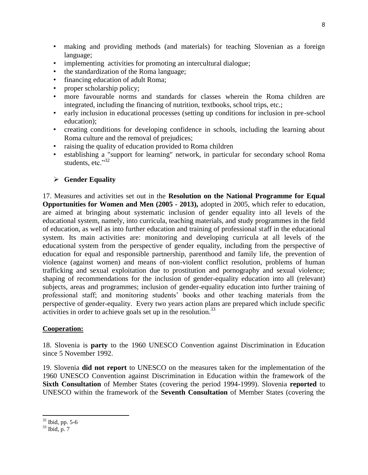- making and providing methods (and materials) for teaching Slovenian as a foreign language;
- implementing activities for promoting an intercultural dialogue;
- the standardization of the Roma language;
- financing education of adult Roma;
- proper scholarship policy;
- more favourable norms and standards for classes wherein the Roma children are integrated, including the financing of nutrition, textbooks, school trips, etc.;
- early inclusion in educational processes (setting up conditions for inclusion in pre-school education);
- creating conditions for developing confidence in schools, including the learning about Roma culture and the removal of prejudices;
- raising the quality of education provided to Roma children
- establishing a "support for learning" network, in particular for secondary school Roma students, etc. $32$

## **Gender Equality**

17. Measures and activities set out in the **Resolution on the National Programme for Equal Opportunities for Women and Men (2005 - 2013),** adopted in 2005, which refer to education, are aimed at bringing about systematic inclusion of gender equality into all levels of the educational system, namely, into curricula, teaching materials, and study programmes in the field of education, as well as into further education and training of professional staff in the educational system. Its main activities are: monitoring and developing curricula at all levels of the educational system from the perspective of gender equality, including from the perspective of education for equal and responsible partnership, parenthood and family life, the prevention of violence (against women) and means of non-violent conflict resolution, problems of human trafficking and sexual exploitation due to prostitution and pornography and sexual violence; shaping of recommendations for the inclusion of gender-equality education into all (relevant) subjects, areas and programmes; inclusion of gender-equality education into further training of professional staff; and monitoring students' books and other teaching materials from the perspective of gender-equality. Every two years action plans are prepared which include specific activities in order to achieve goals set up in the resolution.<sup>33</sup>

### **Cooperation:**

18. Slovenia is **party** to the 1960 UNESCO Convention against Discrimination in Education since 5 November 1992.

19. Slovenia **did not report** to UNESCO on the measures taken for the implementation of the 1960 UNESCO Convention against Discrimination in Education within the framework of the **Sixth Consultation** of Member States (covering the period 1994-1999). Slovenia **reported** to UNESCO within the framework of the **Seventh Consultation** of Member States (covering the

 $32$  Ibid, pp. 5-6

<sup>33</sup> Ibid, p. 7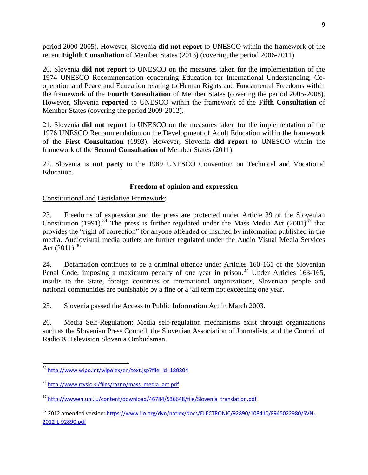period 2000-2005). However, Slovenia **did not report** to UNESCO within the framework of the recent **Eighth Consultation** of Member States (2013) (covering the period 2006-2011).

20. Slovenia **did not report** to UNESCO on the measures taken for the implementation of the 1974 UNESCO Recommendation concerning Education for International Understanding, Cooperation and Peace and Education relating to Human Rights and Fundamental Freedoms within the framework of the **Fourth Consultation** of Member States (covering the period 2005-2008). However, Slovenia **reported** to UNESCO within the framework of the **Fifth Consultation** of Member States (covering the period 2009-2012).

21. Slovenia **did not report** to UNESCO on the measures taken for the implementation of the 1976 UNESCO Recommendation on the Development of Adult Education within the framework of the **First Consultation** (1993). However, Slovenia **did report** to UNESCO within the framework of the **Second Consultation** of Member States (2011).

22. Slovenia is **not party** to the 1989 UNESCO Convention on Technical and Vocational Education.

### **Freedom of opinion and expression**

Constitutional and Legislative Framework:

23. Freedoms of expression and the press are protected under Article 39 of the Slovenian Constitution (1991).<sup>34</sup> The press is further regulated under the Mass Media Act (2001)<sup>35</sup> that provides the "right of correction" for anyone offended or insulted by information published in the media. Audiovisual media outlets are further regulated under the Audio Visual Media Services Act  $(2011)^{36}$ 

24. Defamation continues to be a criminal offence under Articles 160-161 of the Slovenian Penal Code, imposing a maximum penalty of one year in prison.<sup>37</sup> Under Articles 163-165, insults to the State, foreign countries or international organizations, Slovenian people and national communities are punishable by a fine or a jail term not exceeding one year.

25. Slovenia passed the Access to Public Information Act in March 2003.

26. Media Self-Regulation: Media self-regulation mechanisms exist through organizations such as the Slovenian Press Council, the Slovenian Association of Journalists, and the Council of Radio & Television Slovenia Ombudsman.

 $\overline{\phantom{a}}$ <sup>34</sup> [http://www.wipo.int/wipolex/en/text.jsp?file\\_id=180804](http://www.wipo.int/wipolex/en/text.jsp?file_id=180804)

<sup>35</sup> [http://www.rtvslo.si/files/razno/mass\\_media\\_act.pdf](http://www.rtvslo.si/files/razno/mass_media_act.pdf)

<sup>&</sup>lt;sup>36</sup> [http://wwwen.uni.lu/content/download/46784/536648/file/Slovenia\\_translation.pdf](http://wwwen.uni.lu/content/download/46784/536648/file/Slovenia_translation.pdf)

<sup>&</sup>lt;sup>37</sup> 2012 amended version[: https://www.ilo.org/dyn/natlex/docs/ELECTRONIC/92890/108410/F945022980/SVN-](https://www.ilo.org/dyn/natlex/docs/ELECTRONIC/92890/108410/F945022980/SVN-2012-L-92890.pdf)[2012-L-92890.pdf](https://www.ilo.org/dyn/natlex/docs/ELECTRONIC/92890/108410/F945022980/SVN-2012-L-92890.pdf)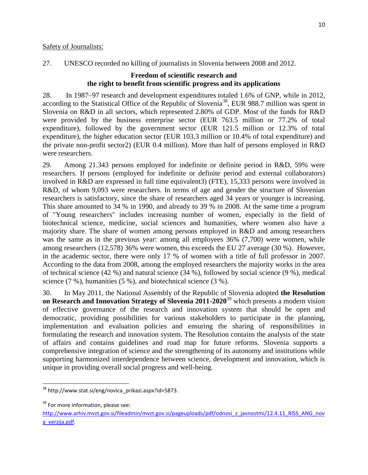27. UNESCO recorded no killing of journalists in Slovenia between 2008 and 2012.

### **Freedom of scientific research and the right to benefit from scientific progress and its applications**

28. In 1987–97 research and development expenditures totaled 1.6% of GNP, while in 2012, according to the Statistical Office of the Republic of Slovenia<sup>38</sup>, EUR 988.7 million was spent in Slovenia on R&D in all sectors, which represented 2.80% of GDP. Most of the funds for R&D were provided by the business enterprise sector (EUR 763.5 million or 77.2% of total expenditure), followed by the government sector (EUR 121.5 million or 12.3% of total expenditure), the higher education sector (EUR 103.3 million or 10.4% of total expenditure) and the private non-profit sector2) (EUR 0.4 million). More than half of persons employed in R&D were researchers.

29. Among 21.343 persons employed for indefinite or definite period in R&D, 59% were researchers. If persons (employed for indefinite or definite period and external collaborators) involved in R&D are expressed in full time equivalent3) (FTE), 15,333 persons were involved in R&D, of whom 9,093 were researchers. In terms of age and gender the structure of Slovenian researchers is satisfactory, since the share of researchers aged 34 years or younger is increasing. This share amounted to 34 % in 1990, and already to 39 % in 2008. At the same time a program of "Young researchers" includes increasing number of women, especially in the field of biotechnical science, medicine, social sciences and humanities, where women also have a majority share. The share of women among persons employed in R&D and among researchers was the same as in the previous year: among all employees 36% (7,700) were women, while among researchers (12,578) 36% were women, this exceeds the EU 27 average (30 %). However, in the academic sector, there were only 17 % of women with a title of full professor in 2007. According to the data from 2008, among the employed researchers the majority works in the area of technical science (42 %) and natural science (34 %), followed by social science (9 %), medical science (7 %), humanities (5 %), and biotechnical science (3 %).

30. In May 2011, the National Assembly of the Republic of Slovenia adopted **the Resolution on Research and Innovation Strategy of Slovenia 2011-2020**<sup>39</sup> which presents a modern vision of effective governance of the research and innovation system that should be open and democratic, providing possibilities for various stakeholders to participate in the planning, implementation and evaluation policies and ensuring the sharing of responsibilities in formulating the research and innovation system. The Resolution contains the analysis of the state of affairs and contains guidelines and road map for future reforms. Slovenia supports a comprehensive integration of science and the strengthening of its autonomy and institutions while supporting harmonized interdependence between science, development and innovation, which is unique in providing overall social progress and well-being.

l <sup>38</sup> http://www.stat.si/eng/novica\_prikazi.aspx?id=5873.

<sup>&</sup>lt;sup>39</sup> For more information, please see:

[http://www.arhiv.mvzt.gov.si/fileadmin/mvzt.gov.si/pageuploads/pdf/odnosi\\_z\\_javnostmi/12.4.11\\_RISS\\_ANG\\_nov](http://www.arhiv.mvzt.gov.si/fileadmin/mvzt.gov.si/pageuploads/pdf/odnosi_z_javnostmi/12.4.11_RISS_ANG_nova_verzija.pdf) [a\\_verzija.pdf.](http://www.arhiv.mvzt.gov.si/fileadmin/mvzt.gov.si/pageuploads/pdf/odnosi_z_javnostmi/12.4.11_RISS_ANG_nova_verzija.pdf)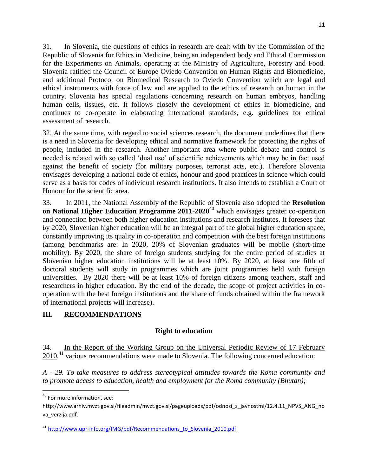31. In Slovenia, the questions of ethics in research are dealt with by the Commission of the Republic of Slovenia for Ethics in Medicine, being an independent body and Ethical Commission for the Experiments on Animals, operating at the Ministry of Agriculture, Forestry and Food. Slovenia ratified the Council of Europe Oviedo Convention on Human Rights and Biomedicine, and additional Protocol on Biomedical Research to Oviedo Convention which are legal and ethical instruments with force of law and are applied to the ethics of research on human in the country. Slovenia has special regulations concerning research on human embryos, handling human cells, tissues, etc. It follows closely the development of ethics in biomedicine, and continues to co-operate in elaborating international standards, e.g. guidelines for ethical assessment of research.

32. At the same time, with regard to social sciences research, the document underlines that there is a need in Slovenia for developing ethical and normative framework for protecting the rights of people, included in the research. Another important area where public debate and control is needed is related with so called 'dual use' of scientific achievements which may be in fact used against the benefit of society (for military purposes, terrorist acts, etc.). Therefore Slovenia envisages developing a national code of ethics, honour and good practices in science which could serve as a basis for codes of individual research institutions. It also intends to establish a Court of Honour for the scientific area.

33. In 2011, the National Assembly of the Republic of Slovenia also adopted the **Resolution on National Higher Education Programme 2011-2020<sup>40</sup> which envisages greater co-operation** and connection between both higher education institutions and research institutes. It foresees that by 2020, Slovenian higher education will be an integral part of the global higher education space, constantly improving its quality in co-operation and competition with the best foreign institutions (among benchmarks are: In 2020, 20% of Slovenian graduates will be mobile (short-time mobility). By 2020, the share of foreign students studying for the entire period of studies at Slovenian higher education institutions will be at least 10%. By 2020, at least one fifth of doctoral students will study in programmes which are joint programmes held with foreign universities. By 2020 there will be at least 10% of foreign citizens among teachers, staff and researchers in higher education. By the end of the decade, the scope of project activities in cooperation with the best foreign institutions and the share of funds obtained within the framework of international projects will increase).

# **III. RECOMMENDATIONS**

### **Right to education**

34. In the Report of the Working Group on the Universal Periodic Review of 17 February 2010,<sup>41</sup> various recommendations were made to Slovenia. The following concerned education:

*A - 29. To take measures to address stereotypical attitudes towards the Roma community and to promote access to education, health and employment for the Roma community (Bhutan);*

<sup>&</sup>lt;sup>40</sup> For more information, see:

http://www.arhiv.mvzt.gov.si/fileadmin/mvzt.gov.si/pageuploads/pdf/odnosi\_z\_javnostmi/12.4.11\_NPVS\_ANG\_no va\_verzija.pdf.

<sup>&</sup>lt;sup>41</sup> [http://www.upr-info.org/IMG/pdf/Recommendations\\_to\\_Slovenia\\_2010.pdf](http://www.upr-info.org/IMG/pdf/Recommendations_to_Slovenia_2010.pdf)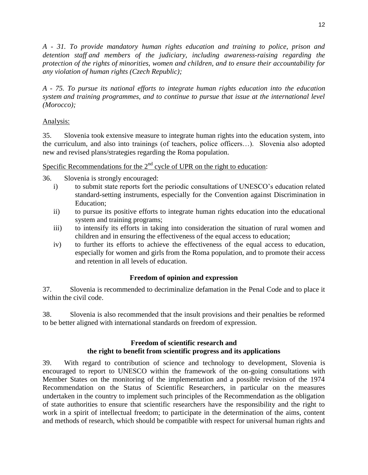*A - 31. To provide mandatory human rights education and training to police, prison and detention staff and members of the judiciary, including awareness-raising regarding the protection of the rights of minorities, women and children, and to ensure their accountability for any violation of human rights (Czech Republic);*

*A - 75. To pursue its national efforts to integrate human rights education into the education system and training programmes, and to continue to pursue that issue at the international level (Morocco);*

### Analysis:

35. Slovenia took extensive measure to integrate human rights into the education system, into the curriculum, and also into trainings (of teachers, police officers…). Slovenia also adopted new and revised plans/strategies regarding the Roma population.

Specific Recommendations for the  $2<sup>nd</sup>$  cycle of UPR on the right to education:

36. Slovenia is strongly encouraged:

- i) to submit state reports fort the periodic consultations of UNESCO's education related standard-setting instruments, especially for the Convention against Discrimination in Education;
- ii) to pursue its positive efforts to integrate human rights education into the educational system and training programs;
- iii) to intensify its efforts in taking into consideration the situation of rural women and children and in ensuring the effectiveness of the equal access to education;
- iv) to further its efforts to achieve the effectiveness of the equal access to education, especially for women and girls from the Roma population, and to promote their access and retention in all levels of education.

### **Freedom of opinion and expression**

37. Slovenia is recommended to decriminalize defamation in the Penal Code and to place it within the civil code.

38. Slovenia is also recommended that the insult provisions and their penalties be reformed to be better aligned with international standards on freedom of expression.

## **Freedom of scientific research and the right to benefit from scientific progress and its applications**

39. With regard to contribution of science and technology to development, Slovenia is encouraged to report to UNESCO within the framework of the on-going consultations with Member States on the monitoring of the implementation and a possible revision of the 1974 Recommendation on the Status of Scientific Researchers, in particular on the measures undertaken in the country to implement such principles of the Recommendation as the obligation of state authorities to ensure that scientific researchers have the responsibility and the right to work in a spirit of intellectual freedom; to participate in the determination of the aims, content and methods of research, which should be compatible with respect for universal human rights and